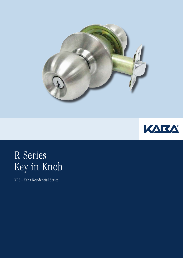



# R Series Key in Knob

KRS - Kaba Residential Series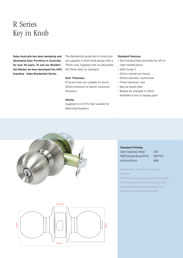### R Series Key in Knob

**Kaba Australia has been designing and developing Door Furniture in Australia for over 30 years. To suit our Residential Market we have developed the KRS branding - Kaba Residential Series.**

The Residential grade Key in Knob lockset supplied in Orbit knob design with a 75mm rose. Supplied with an adjustable 60-70mm latch as standard.

### **Door Thickness**

R Series locks are suitable for doors 35mm minimum to 46mm maximum thickness.

**Keying**  Supplied in C4 5 Pin Not suitable for Restricted Systems.

### **Standard Features**

- • Non-handed field reversible for left or right handed doors
- ANSI Grade 3
- 52mm cylindrical chassis
- 54mm diameter round knob
- 75mm diameter rose
- May be keyed alike

.

- Rebate kit available in 13mm
- Available in box or display pack





**Standard Finishes** 

Satin Stainless Steel SSS PB/Polished Brass/PVD PB/PVD Antique Brass ABN

Polished Brass - PB(PVD) : Physical Vapour Deposition

PVD finish has been recognised as the most reliable finish for hardware which requires surface protection against severe atmospheric attacks, eg: sun ultra-violet rays, salt spray and humidity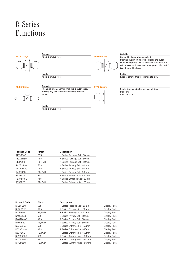## R Series Functions



**Outside**



Knob is always free.

**Inside** Knob is always free.

### **R53 Entrance Outside**



Pushing button on inner knob locks outer knob. Turning key releases button leaving knob unlocked.

**Inside** Knob is always free.

| <b>Finish</b> | <b>Description</b>           |  |  |
|---------------|------------------------------|--|--|
| <b>SSS</b>    | K Series Passage Set - 60mm  |  |  |
| <b>ABN</b>    | K Series Passage Set - 60mm  |  |  |
| PB/PVD        | K Series Passage Set - 60mm  |  |  |
| <b>SSS</b>    | K Series Privacy Set - 60mm  |  |  |
| <b>ABN</b>    | K Series Privacy Set - 60mm  |  |  |
| PB/PVD        | K Series Privacy Set - 60mm  |  |  |
| <b>SSS</b>    | K Series Entrance Set - 60mm |  |  |
| <b>ABN</b>    | K Series Entrance Set - 60mm |  |  |
| PB/PVD        | K Series Entrance Set - 60mm |  |  |
|               |                              |  |  |

| <b>Product Code</b> | <b>Finish</b> | <b>Description</b>           |              |
|---------------------|---------------|------------------------------|--------------|
| R10SSS60            | SSS.          | R Series Passage Set - 60mm  | Display Pack |
| <b>R10ABN60</b>     | ABN           | R Series Passage Set - 60mm  | Display Pack |
| R10PB60             | PB/PVD        | R Series Passage Set - 60mm  | Display Pack |
| R40SSS60            | <b>SSS</b>    | R Series Privacy Set - 60mm  | Display Pack |
| <b>R40ABN60</b>     | ABN           | R Series Privacy Set - 60mm  | Display Pack |
| R40PB60             | PB/PVD        | R Series Privacy Set - 60mm  | Display Pack |
| R53SSS60            | <b>SSS</b>    | R Series Entrance Set - 60mm | Display Pack |
| <b>R53ABN60</b>     | ABN           | R Series Entrance Set - 60mm | Display Pack |
| R53PB60             | PB/PVD        | R Series Entrance Set - 60mm | Display Pack |
| R170SSS60           | <b>SSS</b>    | R Series Dummy Knob - 60mm   | Display Pack |
| R170ABN60           | ABN           | R Series Dummy Knob - 60mm   | Display Pack |
| R170PB60            | PB/PVD        | R Series Dummy Knob - 60mm   | Display Pack |

#### **Outside**

**R40 Privacy**

**R170 Dummy** 

Opened by knob when unlocked. Pushing button on inner knob locks the outer knob. Emergency key, screwdriver or similar tool will release knob in case of emergency. "Kick-off:" is a standard feature.

#### **Inside**

Knob is always free for immediate exit.

Single dummy trim for one side of door. Pull only. Concealed fix.